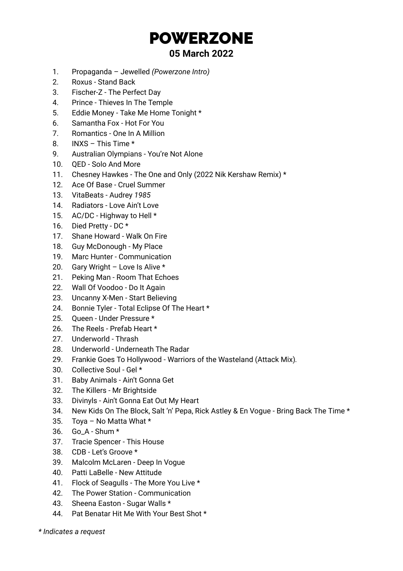## POWERZONE

## **05 March 2022**

- 1. Propaganda Jewelled *(Powerzone Intro)*
- 2. Roxus Stand Back
- 3. Fischer-Z The Perfect Day
- 4. Prince Thieves In The Temple
- 5. Eddie Money Take Me Home Tonight \*
- 6. Samantha Fox Hot For You
- 7. Romantics One In A Million
- 8. INXS This Time \*
- 9. Australian Olympians You're Not Alone
- 10. QED Solo And More
- 11. Chesney Hawkes The One and Only (2022 Nik Kershaw Remix) \*
- 12. Ace Of Base Cruel Summer
- 13. VitaBeats Audrey *1985*
- 14. Radiators Love Ain't Love
- 15. AC/DC Highway to Hell \*
- 16. Died Pretty DC \*
- 17. Shane Howard Walk On Fire
- 18. Guy McDonough My Place
- 19. Marc Hunter Communication
- 20. Gary Wright Love Is Alive \*
- 21. Peking Man Room That Echoes
- 22. Wall Of Voodoo Do It Again
- 23. Uncanny X-Men Start Believing
- 24. Bonnie Tyler Total Eclipse Of The Heart \*
- 25. Queen Under Pressure \*
- 26. The Reels Prefab Heart \*
- 27. Underworld Thrash
- 28. Underworld Underneath The Radar
- 29. Frankie Goes To Hollywood Warriors of the Wasteland (Attack Mix)*.*
- 30. Collective Soul Gel \*
- 31. Baby Animals Ain't Gonna Get
- 32. The Killers Mr Brightside
- 33. Divinyls Ain't Gonna Eat Out My Heart
- 34. New Kids On The Block, Salt 'n' Pepa, Rick Astley & En Vogue Bring Back The Time \*
- 35. Toya No Matta What \*
- 36. Go\_A Shum \*
- 37. Tracie Spencer This House
- 38. CDB Let's Groove \*
- 39. Malcolm McLaren Deep In Vogue
- 40. Patti LaBelle New Attitude
- 41. Flock of Seagulls The More You Live \*
- 42. The Power Station Communication
- 43. Sheena Easton Sugar Walls \*
- 44. Pat Benatar Hit Me With Your Best Shot \*
- *\* Indicates a request*